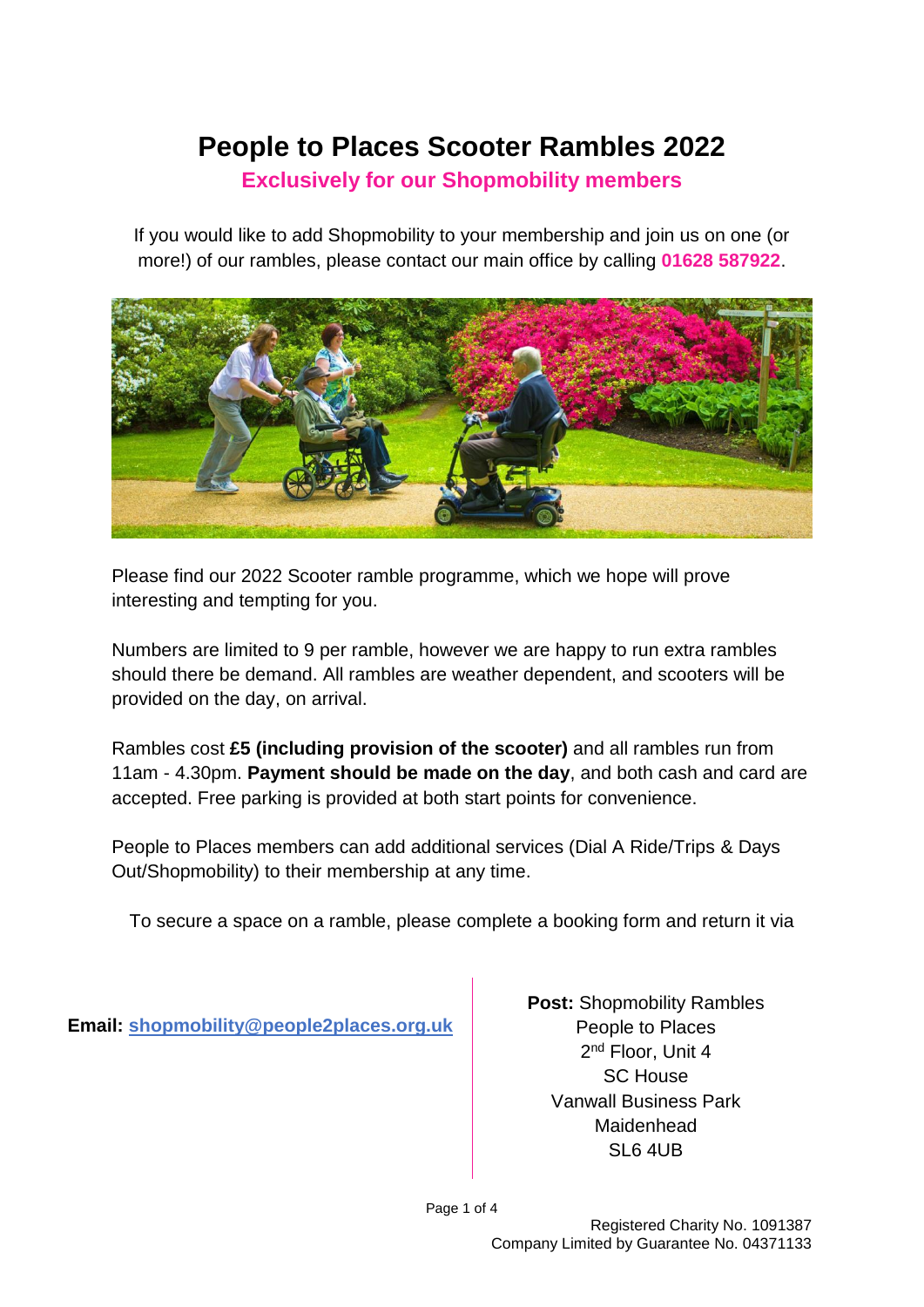# **People to Places Scooter Rambles 2022**

#### **Exclusively for our Shopmobility members**

If you would like to add Shopmobility to your membership and join us on one (or more!) of our rambles, please contact our main office by calling **01628 587922**.



Please find our 2022 Scooter ramble programme, which we hope will prove interesting and tempting for you.

Numbers are limited to 9 per ramble, however we are happy to run extra rambles should there be demand. All rambles are weather dependent, and scooters will be provided on the day, on arrival.

Rambles cost **£5 (including provision of the scooter)** and all rambles run from 11am - 4.30pm. **Payment should be made on the day**, and both cash and card are accepted. Free parking is provided at both start points for convenience.

People to Places members can add additional services (Dial A Ride/Trips & Days Out/Shopmobility) to their membership at any time.

To secure a space on a ramble, please complete a booking form and return it via

**Email: [shopmobility@people2places.org.uk](mailto:shopmobility@people2places.org.uk)**

**Post:** Shopmobility Rambles People to Places 2<sup>nd</sup> Floor, Unit 4 SC House Vanwall Business Park Maidenhead  $SI 6 4UB$ 

Page 1 of 4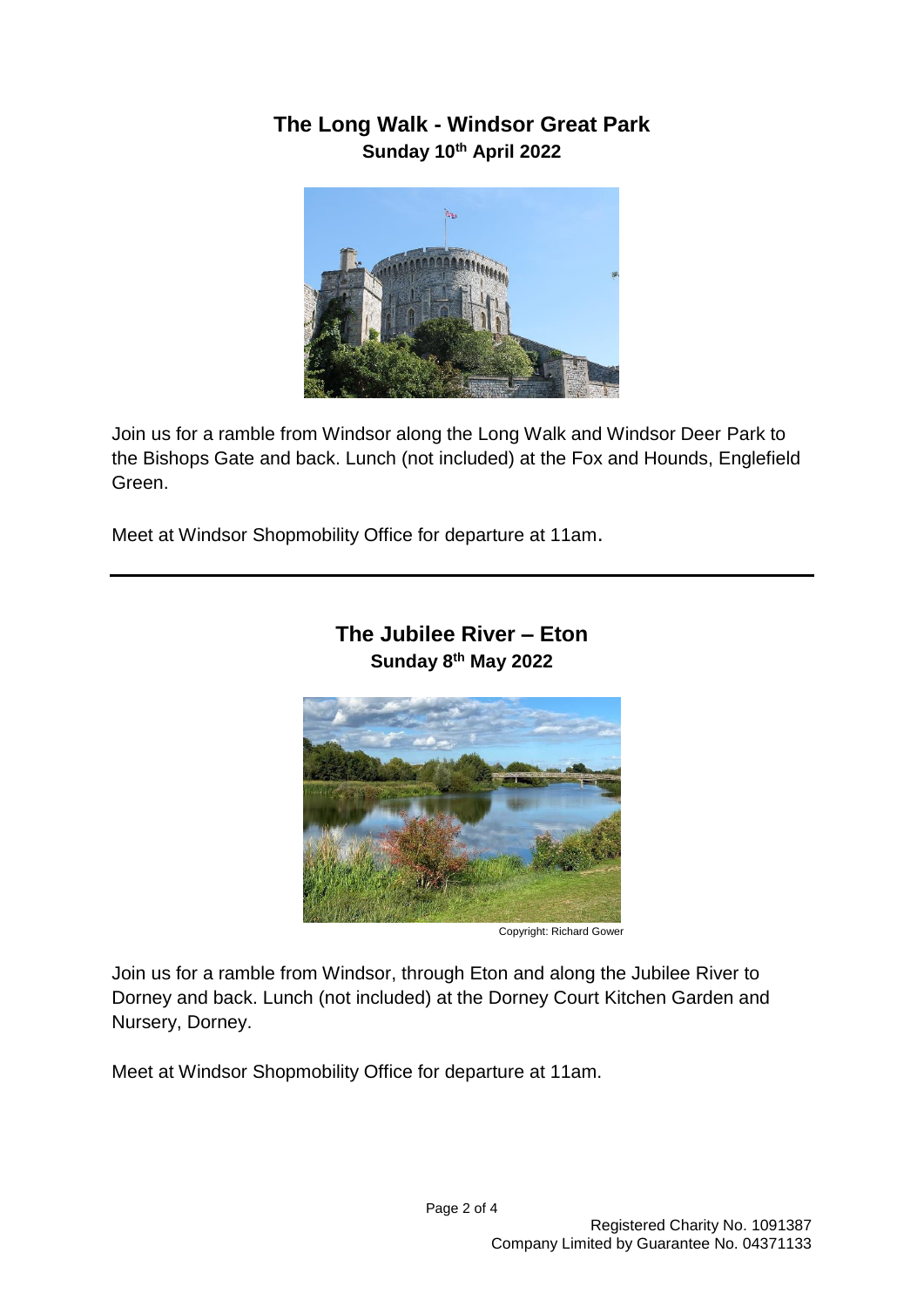# **The Long Walk - Windsor Great Park Sunday 10th April 2022**



Join us for a ramble from Windsor along the Long Walk and Windsor Deer Park to the Bishops Gate and back. Lunch (not included) at the Fox and Hounds, Englefield Green.

Meet at Windsor Shopmobility Office for departure at 11am.



#### **The Jubilee River – Eton Sunday 8th May 2022**

Copyright: Richard Gower

Join us for a ramble from Windsor, through Eton and along the Jubilee River to Dorney and back. Lunch (not included) at the Dorney Court Kitchen Garden and Nursery, Dorney.

Meet at Windsor Shopmobility Office for departure at 11am.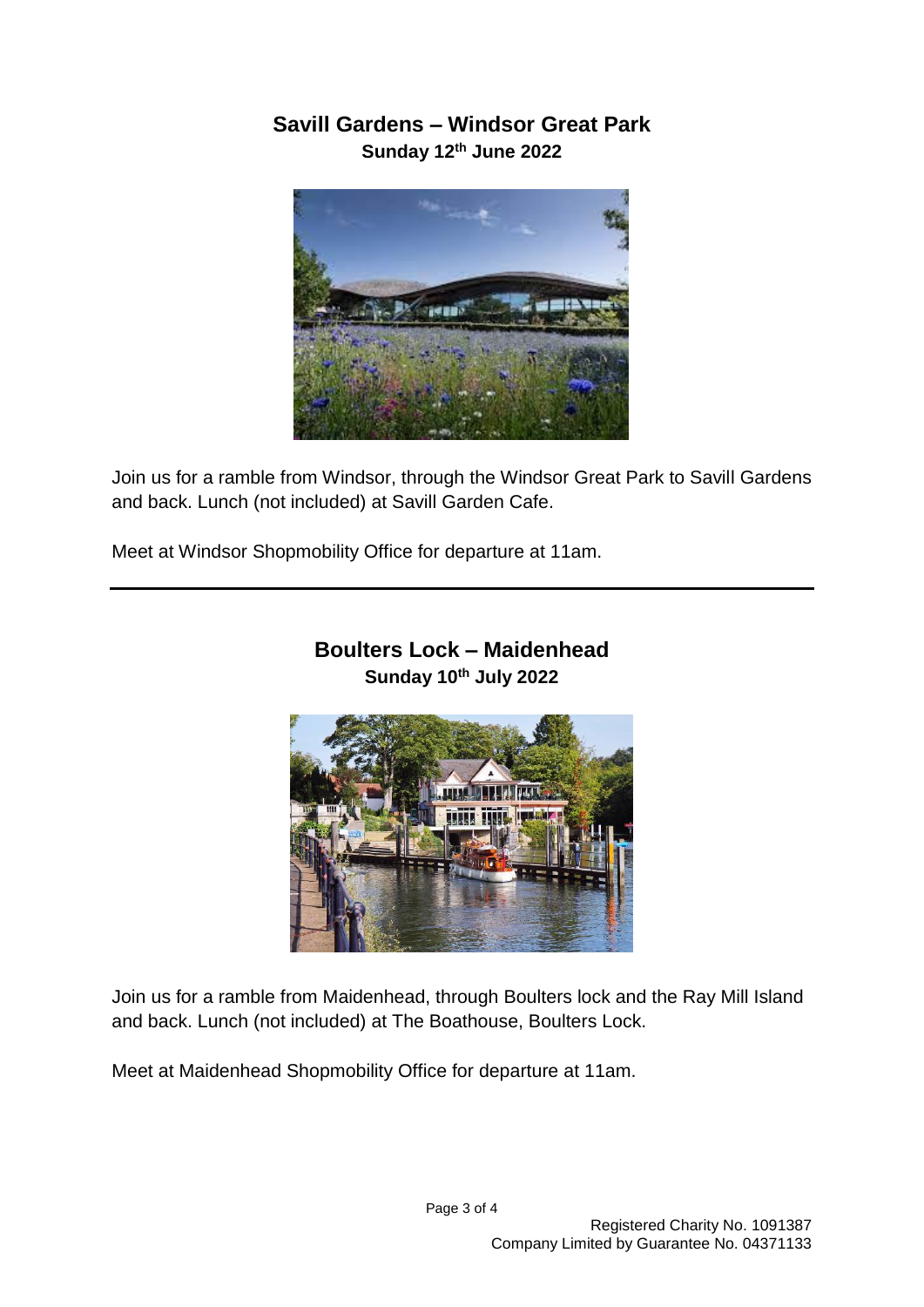## **Savill Gardens – Windsor Great Park Sunday 12th June 2022**



Join us for a ramble from Windsor, through the Windsor Great Park to Savill Gardens and back. Lunch (not included) at Savill Garden Cafe.

Meet at Windsor Shopmobility Office for departure at 11am.



#### **Boulters Lock – Maidenhead Sunday 10th July 2022**

Join us for a ramble from Maidenhead, through Boulters lock and the Ray Mill Island and back. Lunch (not included) at The Boathouse, Boulters Lock.

Meet at Maidenhead Shopmobility Office for departure at 11am.